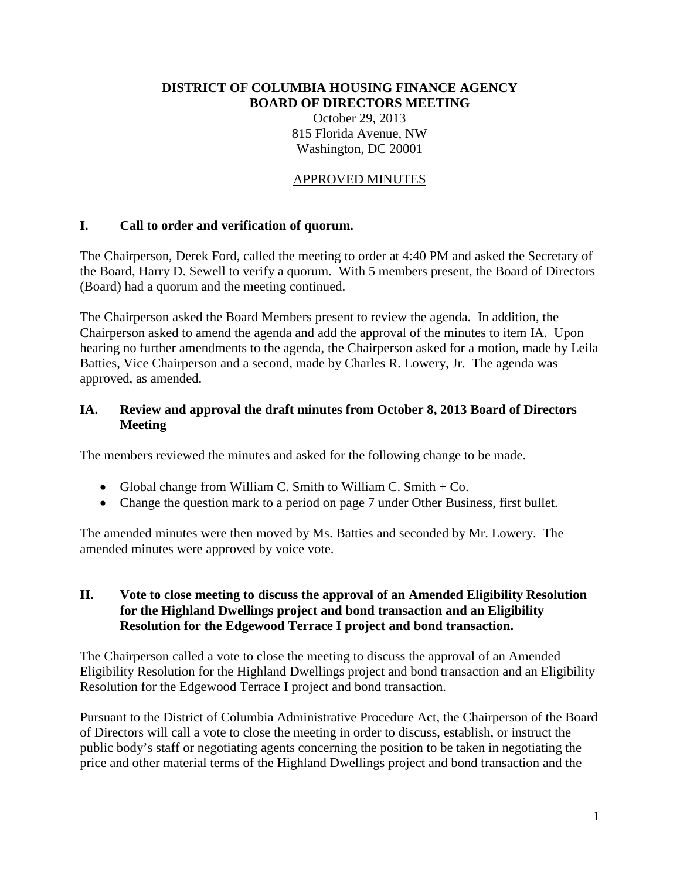#### **DISTRICT OF COLUMBIA HOUSING FINANCE AGENCY BOARD OF DIRECTORS MEETING** October 29, 2013 815 Florida Avenue, NW

Washington, DC 20001

### APPROVED MINUTES

### **I. Call to order and verification of quorum.**

The Chairperson, Derek Ford, called the meeting to order at 4:40 PM and asked the Secretary of the Board, Harry D. Sewell to verify a quorum. With 5 members present, the Board of Directors (Board) had a quorum and the meeting continued.

The Chairperson asked the Board Members present to review the agenda. In addition, the Chairperson asked to amend the agenda and add the approval of the minutes to item IA. Upon hearing no further amendments to the agenda, the Chairperson asked for a motion, made by Leila Batties, Vice Chairperson and a second, made by Charles R. Lowery, Jr. The agenda was approved, as amended.

### **IA. Review and approval the draft minutes from October 8, 2013 Board of Directors Meeting**

The members reviewed the minutes and asked for the following change to be made.

- Global change from William C. Smith to William C. Smith  $+$  Co.
- Change the question mark to a period on page 7 under Other Business, first bullet.

The amended minutes were then moved by Ms. Batties and seconded by Mr. Lowery. The amended minutes were approved by voice vote.

#### **II. Vote to close meeting to discuss the approval of an Amended Eligibility Resolution for the Highland Dwellings project and bond transaction and an Eligibility Resolution for the Edgewood Terrace I project and bond transaction.**

The Chairperson called a vote to close the meeting to discuss the approval of an Amended Eligibility Resolution for the Highland Dwellings project and bond transaction and an Eligibility Resolution for the Edgewood Terrace I project and bond transaction.

Pursuant to the District of Columbia Administrative Procedure Act, the Chairperson of the Board of Directors will call a vote to close the meeting in order to discuss, establish, or instruct the public body's staff or negotiating agents concerning the position to be taken in negotiating the price and other material terms of the Highland Dwellings project and bond transaction and the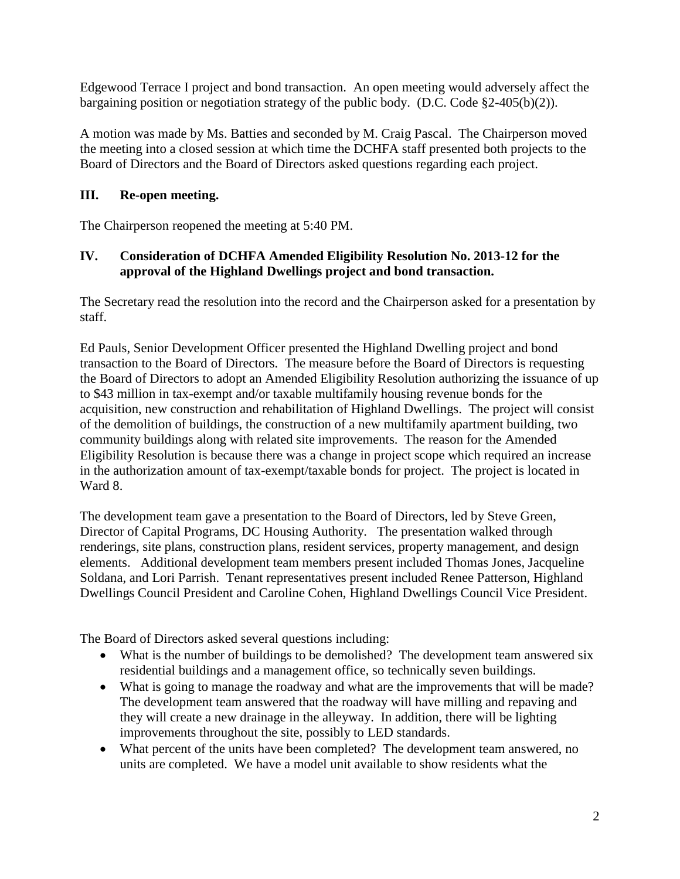Edgewood Terrace I project and bond transaction. An open meeting would adversely affect the bargaining position or negotiation strategy of the public body. (D.C. Code §2-405(b)(2)).

A motion was made by Ms. Batties and seconded by M. Craig Pascal. The Chairperson moved the meeting into a closed session at which time the DCHFA staff presented both projects to the Board of Directors and the Board of Directors asked questions regarding each project.

## **III. Re-open meeting.**

The Chairperson reopened the meeting at 5:40 PM.

## **IV. Consideration of DCHFA Amended Eligibility Resolution No. 2013-12 for the approval of the Highland Dwellings project and bond transaction.**

The Secretary read the resolution into the record and the Chairperson asked for a presentation by staff.

Ed Pauls, Senior Development Officer presented the Highland Dwelling project and bond transaction to the Board of Directors. The measure before the Board of Directors is requesting the Board of Directors to adopt an Amended Eligibility Resolution authorizing the issuance of up to \$43 million in tax-exempt and/or taxable multifamily housing revenue bonds for the acquisition, new construction and rehabilitation of Highland Dwellings. The project will consist of the demolition of buildings, the construction of a new multifamily apartment building, two community buildings along with related site improvements. The reason for the Amended Eligibility Resolution is because there was a change in project scope which required an increase in the authorization amount of tax-exempt/taxable bonds for project. The project is located in Ward 8.

The development team gave a presentation to the Board of Directors, led by Steve Green, Director of Capital Programs, DC Housing Authority. The presentation walked through renderings, site plans, construction plans, resident services, property management, and design elements. Additional development team members present included Thomas Jones, Jacqueline Soldana, and Lori Parrish. Tenant representatives present included Renee Patterson, Highland Dwellings Council President and Caroline Cohen, Highland Dwellings Council Vice President.

The Board of Directors asked several questions including:

- What is the number of buildings to be demolished? The development team answered six residential buildings and a management office, so technically seven buildings.
- What is going to manage the roadway and what are the improvements that will be made? The development team answered that the roadway will have milling and repaving and they will create a new drainage in the alleyway. In addition, there will be lighting improvements throughout the site, possibly to LED standards.
- What percent of the units have been completed? The development team answered, no units are completed. We have a model unit available to show residents what the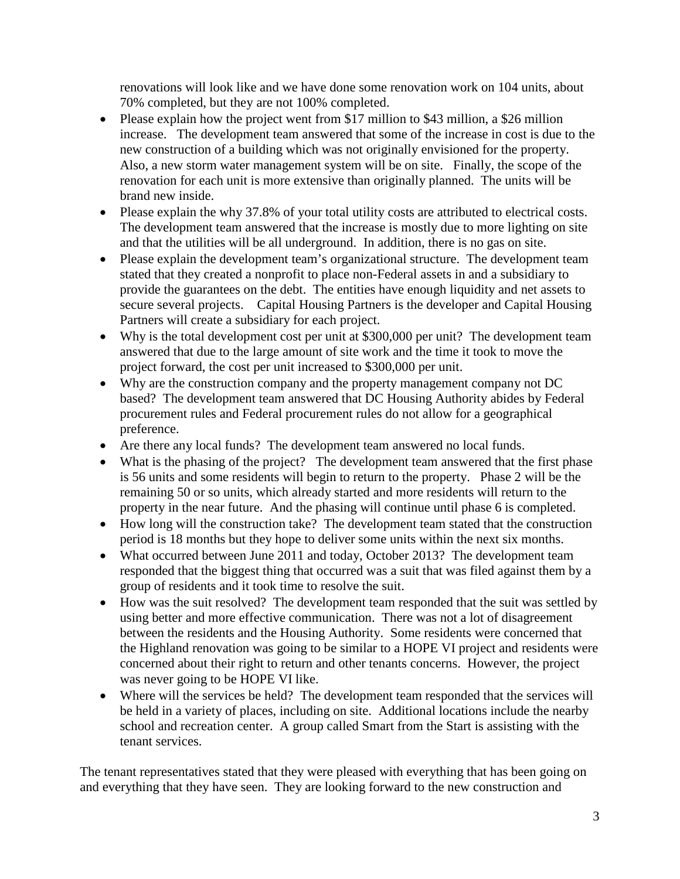renovations will look like and we have done some renovation work on 104 units, about 70% completed, but they are not 100% completed.

- Please explain how the project went from \$17 million to \$43 million, a \$26 million increase. The development team answered that some of the increase in cost is due to the new construction of a building which was not originally envisioned for the property. Also, a new storm water management system will be on site. Finally, the scope of the renovation for each unit is more extensive than originally planned. The units will be brand new inside.
- Please explain the why 37.8% of your total utility costs are attributed to electrical costs. The development team answered that the increase is mostly due to more lighting on site and that the utilities will be all underground. In addition, there is no gas on site.
- Please explain the development team's organizational structure. The development team stated that they created a nonprofit to place non-Federal assets in and a subsidiary to provide the guarantees on the debt. The entities have enough liquidity and net assets to secure several projects. Capital Housing Partners is the developer and Capital Housing Partners will create a subsidiary for each project.
- Why is the total development cost per unit at \$300,000 per unit? The development team answered that due to the large amount of site work and the time it took to move the project forward, the cost per unit increased to \$300,000 per unit.
- Why are the construction company and the property management company not DC based? The development team answered that DC Housing Authority abides by Federal procurement rules and Federal procurement rules do not allow for a geographical preference.
- Are there any local funds? The development team answered no local funds.
- What is the phasing of the project? The development team answered that the first phase is 56 units and some residents will begin to return to the property. Phase 2 will be the remaining 50 or so units, which already started and more residents will return to the property in the near future. And the phasing will continue until phase 6 is completed.
- How long will the construction take? The development team stated that the construction period is 18 months but they hope to deliver some units within the next six months.
- What occurred between June 2011 and today, October 2013? The development team responded that the biggest thing that occurred was a suit that was filed against them by a group of residents and it took time to resolve the suit.
- How was the suit resolved? The development team responded that the suit was settled by using better and more effective communication. There was not a lot of disagreement between the residents and the Housing Authority. Some residents were concerned that the Highland renovation was going to be similar to a HOPE VI project and residents were concerned about their right to return and other tenants concerns. However, the project was never going to be HOPE VI like.
- Where will the services be held? The development team responded that the services will be held in a variety of places, including on site. Additional locations include the nearby school and recreation center. A group called Smart from the Start is assisting with the tenant services.

The tenant representatives stated that they were pleased with everything that has been going on and everything that they have seen. They are looking forward to the new construction and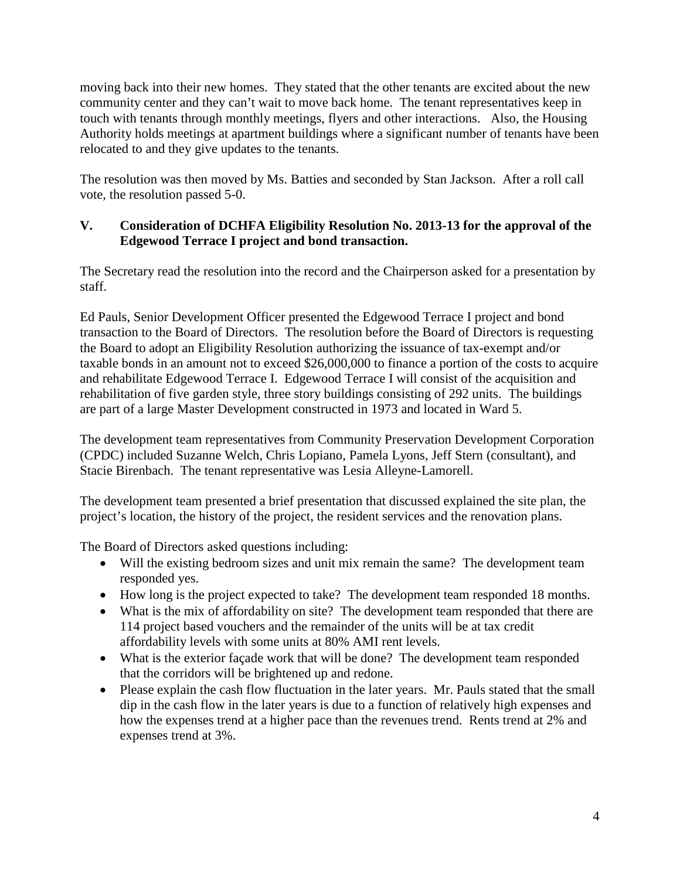moving back into their new homes. They stated that the other tenants are excited about the new community center and they can't wait to move back home. The tenant representatives keep in touch with tenants through monthly meetings, flyers and other interactions. Also, the Housing Authority holds meetings at apartment buildings where a significant number of tenants have been relocated to and they give updates to the tenants.

The resolution was then moved by Ms. Batties and seconded by Stan Jackson. After a roll call vote, the resolution passed 5-0.

## **V. Consideration of DCHFA Eligibility Resolution No. 2013-13 for the approval of the Edgewood Terrace I project and bond transaction.**

The Secretary read the resolution into the record and the Chairperson asked for a presentation by staff.

Ed Pauls, Senior Development Officer presented the Edgewood Terrace I project and bond transaction to the Board of Directors. The resolution before the Board of Directors is requesting the Board to adopt an Eligibility Resolution authorizing the issuance of tax-exempt and/or taxable bonds in an amount not to exceed \$26,000,000 to finance a portion of the costs to acquire and rehabilitate Edgewood Terrace I. Edgewood Terrace I will consist of the acquisition and rehabilitation of five garden style, three story buildings consisting of 292 units. The buildings are part of a large Master Development constructed in 1973 and located in Ward 5.

The development team representatives from Community Preservation Development Corporation (CPDC) included Suzanne Welch, Chris Lopiano, Pamela Lyons, Jeff Stern (consultant), and Stacie Birenbach. The tenant representative was Lesia Alleyne-Lamorell.

The development team presented a brief presentation that discussed explained the site plan, the project's location, the history of the project, the resident services and the renovation plans.

The Board of Directors asked questions including:

- Will the existing bedroom sizes and unit mix remain the same? The development team responded yes.
- How long is the project expected to take? The development team responded 18 months.
- What is the mix of affordability on site? The development team responded that there are 114 project based vouchers and the remainder of the units will be at tax credit affordability levels with some units at 80% AMI rent levels.
- What is the exterior façade work that will be done? The development team responded that the corridors will be brightened up and redone.
- Please explain the cash flow fluctuation in the later years. Mr. Pauls stated that the small dip in the cash flow in the later years is due to a function of relatively high expenses and how the expenses trend at a higher pace than the revenues trend. Rents trend at 2% and expenses trend at 3%.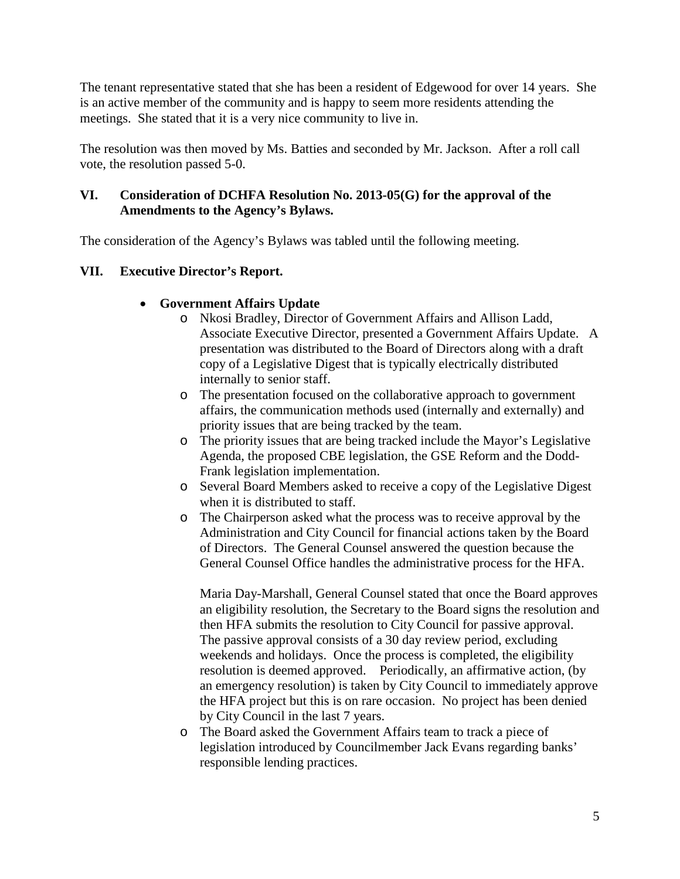The tenant representative stated that she has been a resident of Edgewood for over 14 years. She is an active member of the community and is happy to seem more residents attending the meetings. She stated that it is a very nice community to live in.

The resolution was then moved by Ms. Batties and seconded by Mr. Jackson. After a roll call vote, the resolution passed 5-0.

## **VI. Consideration of DCHFA Resolution No. 2013-05(G) for the approval of the Amendments to the Agency's Bylaws.**

The consideration of the Agency's Bylaws was tabled until the following meeting.

## **VII. Executive Director's Report.**

## • **Government Affairs Update**

- o Nkosi Bradley, Director of Government Affairs and Allison Ladd, Associate Executive Director, presented a Government Affairs Update. A presentation was distributed to the Board of Directors along with a draft copy of a Legislative Digest that is typically electrically distributed internally to senior staff.
- o The presentation focused on the collaborative approach to government affairs, the communication methods used (internally and externally) and priority issues that are being tracked by the team.
- o The priority issues that are being tracked include the Mayor's Legislative Agenda, the proposed CBE legislation, the GSE Reform and the Dodd-Frank legislation implementation.
- o Several Board Members asked to receive a copy of the Legislative Digest when it is distributed to staff.
- o The Chairperson asked what the process was to receive approval by the Administration and City Council for financial actions taken by the Board of Directors. The General Counsel answered the question because the General Counsel Office handles the administrative process for the HFA.

Maria Day-Marshall, General Counsel stated that once the Board approves an eligibility resolution, the Secretary to the Board signs the resolution and then HFA submits the resolution to City Council for passive approval. The passive approval consists of a 30 day review period, excluding weekends and holidays. Once the process is completed, the eligibility resolution is deemed approved. Periodically, an affirmative action, (by an emergency resolution) is taken by City Council to immediately approve the HFA project but this is on rare occasion. No project has been denied by City Council in the last 7 years.

o The Board asked the Government Affairs team to track a piece of legislation introduced by Councilmember Jack Evans regarding banks' responsible lending practices.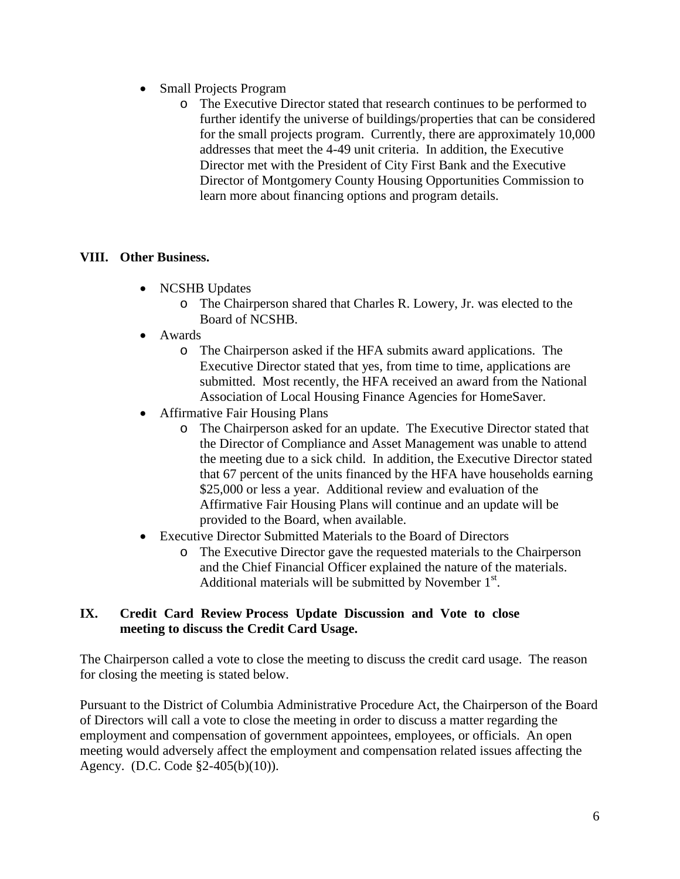- Small Projects Program
	- o The Executive Director stated that research continues to be performed to further identify the universe of buildings/properties that can be considered for the small projects program. Currently, there are approximately 10,000 addresses that meet the 4-49 unit criteria. In addition, the Executive Director met with the President of City First Bank and the Executive Director of Montgomery County Housing Opportunities Commission to learn more about financing options and program details.

### **VIII. Other Business.**

- NCSHB Updates
	- o The Chairperson shared that Charles R. Lowery, Jr. was elected to the Board of NCSHB.
- Awards
	- o The Chairperson asked if the HFA submits award applications. The Executive Director stated that yes, from time to time, applications are submitted. Most recently, the HFA received an award from the National Association of Local Housing Finance Agencies for HomeSaver.
- Affirmative Fair Housing Plans
	- o The Chairperson asked for an update. The Executive Director stated that the Director of Compliance and Asset Management was unable to attend the meeting due to a sick child. In addition, the Executive Director stated that 67 percent of the units financed by the HFA have households earning \$25,000 or less a year. Additional review and evaluation of the Affirmative Fair Housing Plans will continue and an update will be provided to the Board, when available.
- Executive Director Submitted Materials to the Board of Directors
	- o The Executive Director gave the requested materials to the Chairperson and the Chief Financial Officer explained the nature of the materials. Additional materials will be submitted by November  $1<sup>st</sup>$ .

### **IX. Credit Card Review Process Update Discussion and Vote to close meeting to discuss the Credit Card Usage.**

The Chairperson called a vote to close the meeting to discuss the credit card usage. The reason for closing the meeting is stated below.

Pursuant to the District of Columbia Administrative Procedure Act, the Chairperson of the Board of Directors will call a vote to close the meeting in order to discuss a matter regarding the employment and compensation of government appointees, employees, or officials. An open meeting would adversely affect the employment and compensation related issues affecting the Agency. (D.C. Code §2-405(b)(10)).